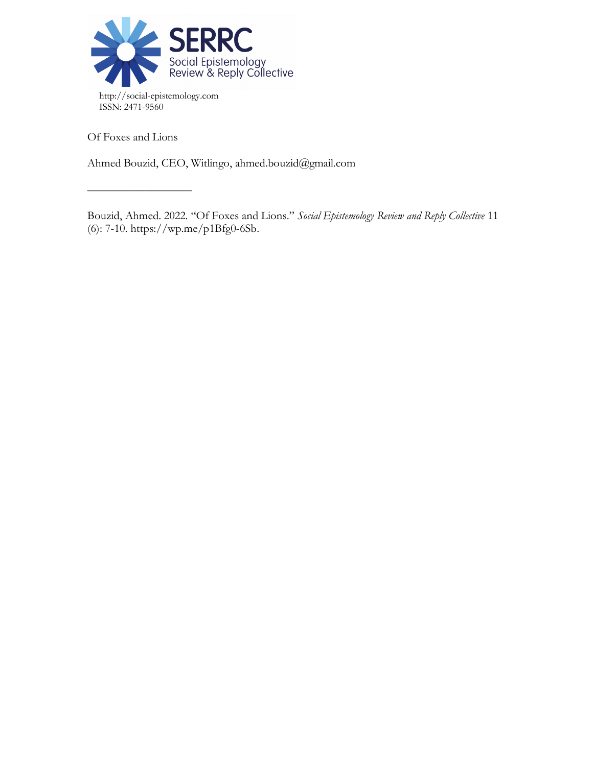

Of Foxes and Lions

––––––––––––––––––

Ahmed Bouzid, CEO, Witlingo, ahmed.bouzid@gmail.com

Bouzid, Ahmed. 2022. "Of Foxes and Lions." *Social Epistemology Review and Reply Collective* 11 (6): 7-10. https://wp.me/p1Bfg0-6Sb.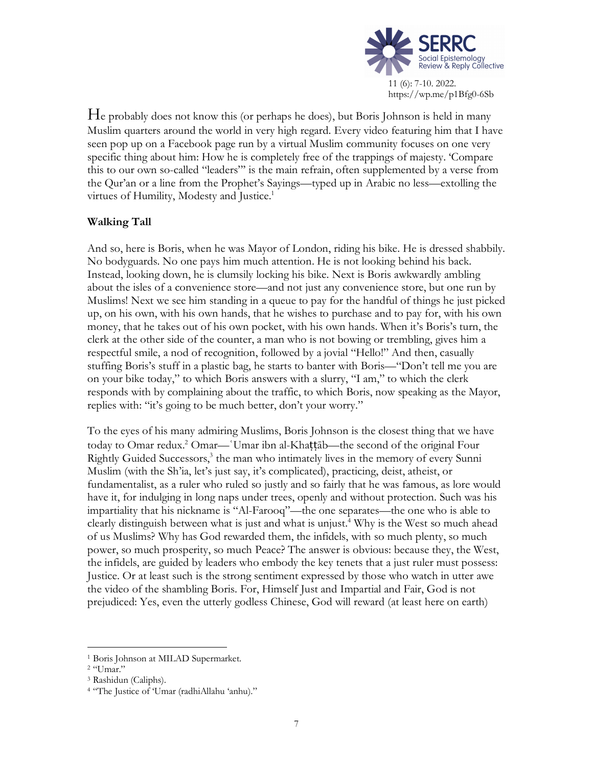

He probably does not know this (or perhaps he does), but Boris Johnson is held in many Muslim quarters around the world in very high regard. Every video featuring him that I have seen pop up on a Facebook page run by a virtual Muslim community focuses on one very specific thing about him: How he is completely free of the trappings of majesty. 'Compare this to our own so-called "leaders"' is the main refrain, often supplemented by a verse from the Qur'an or a line from the Prophet's Sayings—typed up in Arabic no less—extolling the virtues of Humility, Modesty and Justice.<sup>1</sup>

# **Walking Tall**

And so, here is Boris, when he was Mayor of London, riding his bike. He is dressed shabbily. No bodyguards. No one pays him much attention. He is not looking behind his back. Instead, looking down, he is clumsily locking his bike. Next is Boris awkwardly ambling about the isles of a convenience store—and not just any convenience store, but one run by Muslims! Next we see him standing in a queue to pay for the handful of things he just picked up, on his own, with his own hands, that he wishes to purchase and to pay for, with his own money, that he takes out of his own pocket, with his own hands. When it's Boris's turn, the clerk at the other side of the counter, a man who is not bowing or trembling, gives him a respectful smile, a nod of recognition, followed by a jovial "Hello!" And then, casually stuffing Boris's stuff in a plastic bag, he starts to banter with Boris—"Don't tell me you are on your bike today," to which Boris answers with a slurry, "I am," to which the clerk responds with by complaining about the traffic, to which Boris, now speaking as the Mayor, replies with: "it's going to be much better, don't your worry."

To the eyes of his many admiring Muslims, Boris Johnson is the closest thing that we have today to Omar redux.2 Omar—ʿUmar ibn al-Khaṭṭāb—the second of the original Four Rightly Guided Successors,<sup>3</sup> the man who intimately lives in the memory of every Sunni Muslim (with the Sh'ia, let's just say, it's complicated), practicing, deist, atheist, or fundamentalist, as a ruler who ruled so justly and so fairly that he was famous, as lore would have it, for indulging in long naps under trees, openly and without protection. Such was his impartiality that his nickname is "Al-Farooq"—the one separates—the one who is able to clearly distinguish between what is just and what is unjust. <sup>4</sup> Why is the West so much ahead of us Muslims? Why has God rewarded them, the infidels, with so much plenty, so much power, so much prosperity, so much Peace? The answer is obvious: because they, the West, the infidels, are guided by leaders who embody the key tenets that a just ruler must possess: Justice. Or at least such is the strong sentiment expressed by those who watch in utter awe the video of the shambling Boris. For, Himself Just and Impartial and Fair, God is not prejudiced: Yes, even the utterly godless Chinese, God will reward (at least here on earth)

 <sup>1</sup> Boris Johnson at MILAD Supermarket.

<sup>2</sup> "Umar."

<sup>3</sup> Rashidun (Caliphs).

<sup>4</sup> "The Justice of 'Umar (radhiAllahu 'anhu)."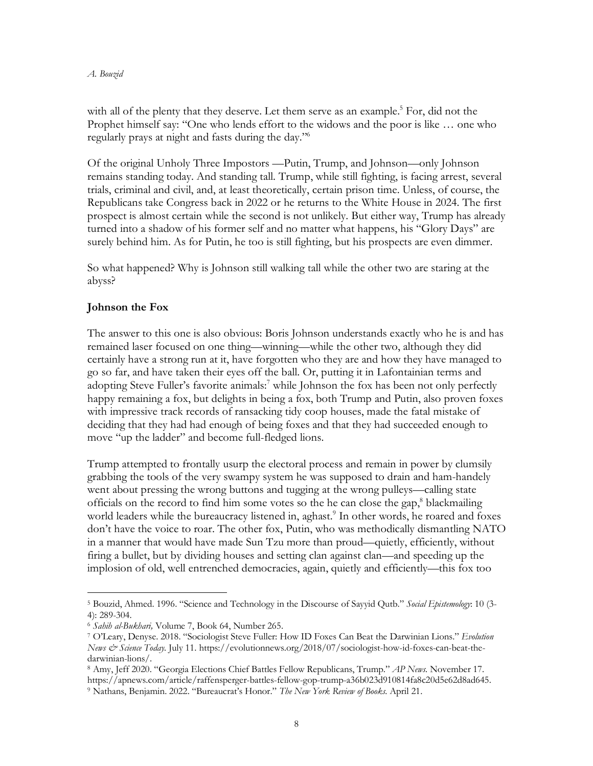### *A. Bouzid*

with all of the plenty that they deserve. Let them serve as an example.<sup>5</sup> For, did not the Prophet himself say: "One who lends effort to the widows and the poor is like … one who regularly prays at night and fasts during the day."6

Of the original Unholy Three Impostors —Putin, Trump, and Johnson—only Johnson remains standing today. And standing tall. Trump, while still fighting, is facing arrest, several trials, criminal and civil, and, at least theoretically, certain prison time. Unless, of course, the Republicans take Congress back in 2022 or he returns to the White House in 2024. The first prospect is almost certain while the second is not unlikely. But either way, Trump has already turned into a shadow of his former self and no matter what happens, his "Glory Days" are surely behind him. As for Putin, he too is still fighting, but his prospects are even dimmer.

So what happened? Why is Johnson still walking tall while the other two are staring at the abyss?

## **Johnson the Fox**

The answer to this one is also obvious: Boris Johnson understands exactly who he is and has remained laser focused on one thing—winning—while the other two, although they did certainly have a strong run at it, have forgotten who they are and how they have managed to go so far, and have taken their eyes off the ball. Or, putting it in Lafontainian terms and adopting Steve Fuller's favorite animals:<sup>7</sup> while Johnson the fox has been not only perfectly happy remaining a fox, but delights in being a fox, both Trump and Putin, also proven foxes with impressive track records of ransacking tidy coop houses, made the fatal mistake of deciding that they had had enough of being foxes and that they had succeeded enough to move "up the ladder" and become full-fledged lions.

Trump attempted to frontally usurp the electoral process and remain in power by clumsily grabbing the tools of the very swampy system he was supposed to drain and ham-handely went about pressing the wrong buttons and tugging at the wrong pulleys—calling state officials on the record to find him some votes so the he can close the gap, <sup>8</sup> blackmailing world leaders while the bureaucracy listened in, aghast.<sup>9</sup> In other words, he roared and foxes don't have the voice to roar. The other fox, Putin, who was methodically dismantling NATO in a manner that would have made Sun Tzu more than proud—quietly, efficiently, without firing a bullet, but by dividing houses and setting clan against clan—and speeding up the implosion of old, well entrenched democracies, again, quietly and efficiently—this fox too

 <sup>5</sup> Bouzid, Ahmed. 1996. "Science and Technology in the Discourse of Sayyid Qutb." *Social Epistemology*: 10 (3- 4): 289-304.

<sup>6</sup> *Sahih al-Bukhari,* Volume 7, Book 64, Number 265.

<sup>7</sup> O'Leary, Denyse. 2018. "Sociologist Steve Fuller: How ID Foxes Can Beat the Darwinian Lions." *Evolution News & Science Today.* July 11. https://evolutionnews.org/2018/07/sociologist-how-id-foxes-can-beat-thedarwinian-lions/.

<sup>8</sup> Amy, Jeff 2020. "Georgia Elections Chief Battles Fellow Republicans, Trump." *AP News.* November 17.

https://apnews.com/article/raffensperger-battles-fellow-gop-trump-a36b023d910814fa8c20d5e62d8ad645. <sup>9</sup> Nathans, Benjamin. 2022. "Bureaucrat's Honor." *The New York Review of Books.* April 21.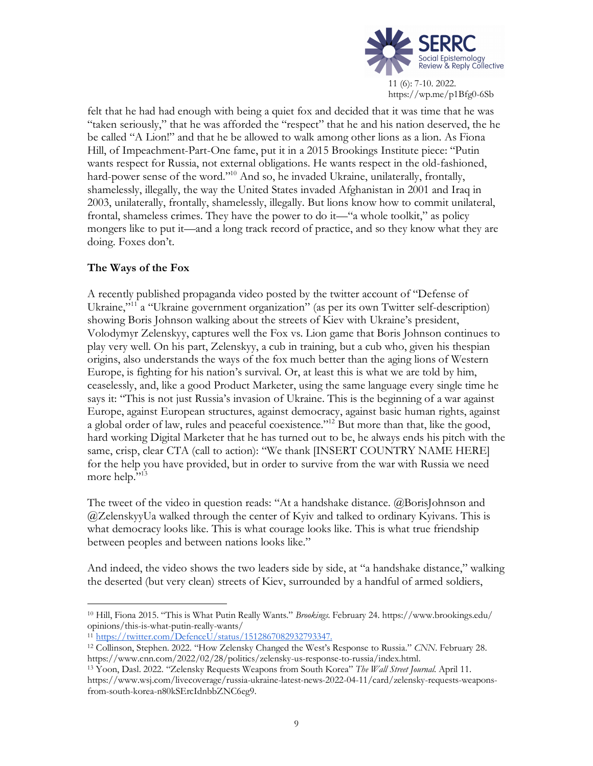

felt that he had had enough with being a quiet fox and decided that it was time that he was "taken seriously," that he was afforded the "respect" that he and his nation deserved, the he be called "A Lion!" and that he be allowed to walk among other lions as a lion. As Fiona Hill, of Impeachment-Part-One fame, put it in a 2015 Brookings Institute piece: "Putin wants respect for Russia, not external obligations. He wants respect in the old-fashioned, hard-power sense of the word."<sup>10</sup> And so, he invaded Ukraine, unilaterally, frontally, shamelessly, illegally, the way the United States invaded Afghanistan in 2001 and Iraq in 2003, unilaterally, frontally, shamelessly, illegally. But lions know how to commit unilateral, frontal, shameless crimes. They have the power to do it—"a whole toolkit," as policy mongers like to put it—and a long track record of practice, and so they know what they are doing. Foxes don't.

# **The Ways of the Fox**

A recently published propaganda video posted by the twitter account of "Defense of Ukraine,"11 a "Ukraine government organization" (as per its own Twitter self-description) showing Boris Johnson walking about the streets of Kiev with Ukraine's president, Volodymyr Zelenskyy, captures well the Fox vs. Lion game that Boris Johnson continues to play very well. On his part, Zelenskyy, a cub in training, but a cub who, given his thespian origins, also understands the ways of the fox much better than the aging lions of Western Europe, is fighting for his nation's survival. Or, at least this is what we are told by him, ceaselessly, and, like a good Product Marketer, using the same language every single time he says it: "This is not just Russia's invasion of Ukraine. This is the beginning of a war against Europe, against European structures, against democracy, against basic human rights, against a global order of law, rules and peaceful coexistence."<sup>12</sup> But more than that, like the good, hard working Digital Marketer that he has turned out to be, he always ends his pitch with the same, crisp, clear CTA (call to action): "We thank [INSERT COUNTRY NAME HERE] for the help you have provided, but in order to survive from the war with Russia we need more help."<sup>13</sup>

The tweet of the video in question reads: "At a handshake distance. @BorisJohnson and @ZelenskyyUa walked through the center of Kyiv and talked to ordinary Kyivans. This is what democracy looks like. This is what courage looks like. This is what true friendship between peoples and between nations looks like."

And indeed, the video shows the two leaders side by side, at "a handshake distance," walking the deserted (but very clean) streets of Kiev, surrounded by a handful of armed soldiers,

 <sup>10</sup> Hill, Fiona 2015. "This is What Putin Really Wants." *Brookings.* February 24. https://www.brookings.edu/ opinions/this-is-what-putin-really-wants/

<sup>11</sup> https://twitter.com/DefenceU/status/1512867082932793347.

<sup>12</sup> Collinson, Stephen. 2022. "How Zelensky Changed the West's Response to Russia." *CNN*. February 28. https://www.cnn.com/2022/02/28/politics/zelensky-us-response-to-russia/index.html.

<sup>13</sup> Yoon, Dasl. 2022. "Zelensky Requests Weapons from South Korea" *The Wall Street Journal*. April 11. https://www.wsj.com/livecoverage/russia-ukraine-latest-news-2022-04-11/card/zelensky-requests-weaponsfrom-south-korea-n80kSErcIdnbbZNC6eg9.